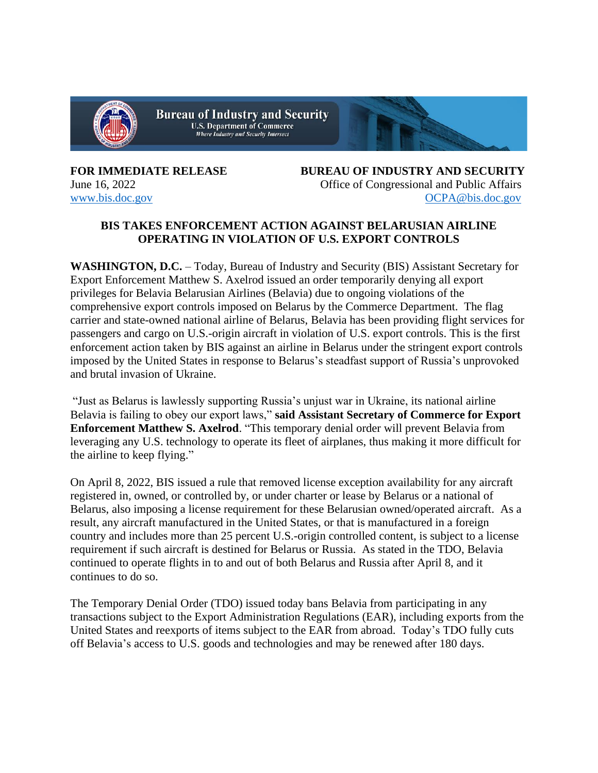

**Bureau of Industry and Security**<br>U.S. Department of Commerce **Where Industry and Security Intersect** 

**FOR IMMEDIATE RELEASE BUREAU OF INDUSTRY AND SECURITY** June 16, 2022 Office of Congressional and Public Affairs [www.bis.doc.gov](http://www.bis.doc.gov/) [OCPA@bis.doc.gov](mailto:OCPA@bis.doc.gov)

## **BIS TAKES ENFORCEMENT ACTION AGAINST BELARUSIAN AIRLINE OPERATING IN VIOLATION OF U.S. EXPORT CONTROLS**

**WASHINGTON, D.C.** – Today, Bureau of Industry and Security (BIS) Assistant Secretary for Export Enforcement Matthew S. Axelrod issued an order temporarily denying all export privileges for Belavia Belarusian Airlines (Belavia) due to ongoing violations of the comprehensive export controls imposed on Belarus by the Commerce Department. The flag carrier and state-owned national airline of Belarus, Belavia has been providing flight services for passengers and cargo on U.S.-origin aircraft in violation of U.S. export controls. This is the first enforcement action taken by BIS against an airline in Belarus under the stringent export controls imposed by the United States in response to Belarus's steadfast support of Russia's unprovoked and brutal invasion of Ukraine.

"Just as Belarus is lawlessly supporting Russia's unjust war in Ukraine, its national airline Belavia is failing to obey our export laws," **said Assistant Secretary of Commerce for Export Enforcement Matthew S. Axelrod**. "This temporary denial order will prevent Belavia from leveraging any U.S. technology to operate its fleet of airplanes, thus making it more difficult for the airline to keep flying."

On April 8, 2022, BIS issued a rule that removed license exception availability for any aircraft registered in, owned, or controlled by, or under charter or lease by Belarus or a national of Belarus, also imposing a license requirement for these Belarusian owned/operated aircraft. As a result, any aircraft manufactured in the United States, or that is manufactured in a foreign country and includes more than 25 percent U.S.-origin controlled content, is subject to a license requirement if such aircraft is destined for Belarus or Russia. As stated in the TDO, Belavia continued to operate flights in to and out of both Belarus and Russia after April 8, and it continues to do so.

The Temporary Denial Order (TDO) issued today bans Belavia from participating in any transactions subject to the Export Administration Regulations (EAR), including exports from the United States and reexports of items subject to the EAR from abroad. Today's TDO fully cuts off Belavia's access to U.S. goods and technologies and may be renewed after 180 days.